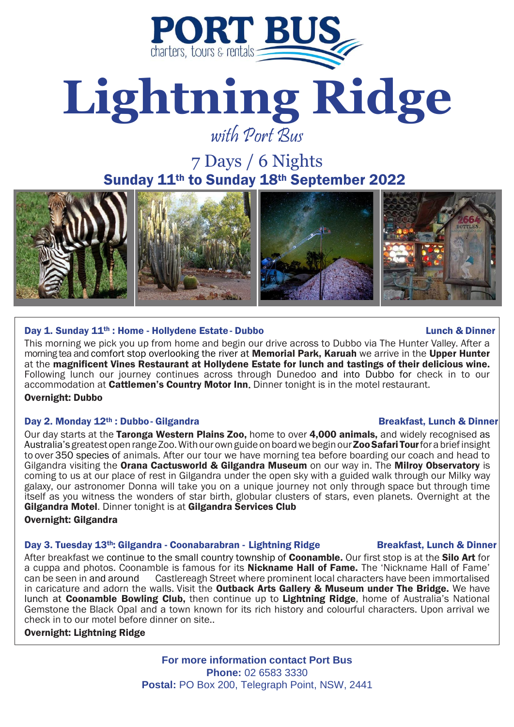

# **Lightning Ridge** with Port Bus

7 Days / 6 Nights Sunday 11th to Sunday 18th September 2022



## Day 1. Sunday 11<sup>th</sup> : Home - Hollydene Estate - Dubbo Lunch **Lunch & Dinner** Lunch & Dinner

This morning we pick you up from home and begin our drive across to Dubbo via The Hunter Valley. After a morning tea and comfort stop overlooking the river at Memorial Park, Karuah we arrive in the Upper Hunter at the magnificent Vines Restaurant at Hollydene Estate for lunch and tastings of their delicious wine. Following lunch our journey continues across through Dunedoo and into Dubbo for check in to our accommodation at **Cattlemen's Country Motor Inn.** Dinner tonight is in the motel restaurant. Overnight: Dubbo

#### Day 2. Monday 12<sup>th</sup> : Dubbo- Gilgandra Breakfast, Lunch & Dinner

Our day starts at the Taronga Western Plains Zoo, home to over 4,000 animals, and widely recognised as Australia's greatest open range Zoo. With our own guide on board we begin our **Zoo Safari Tour** for a brief insight to over 350 species of animals. After our tour we have morning tea before boarding our coach and head to Gilgandra visiting the Orana Cactusworld & Gilgandra Museum on our way in. The Milroy Observatory is coming to us at our place of rest in Gilgandra under the open sky with a guided walk through our Milky way galaxy, our astronomer Donna will take you on a unique journey not only through space but through time itself as you witness the wonders of star birth, globular clusters of stars, even planets. Overnight at the Gilgandra Motel. Dinner tonight is at Gilgandra Services Club

#### Overnight: Gilgandra

## Day 3. Tuesday 13<sup>th</sup>: Gilgandra - Coonabarabran - Lightning Ridge Breakfast, Lunch & Dinner

After breakfast we continue to the small country township of **Coonamble.** Our first stop is at the **Silo Art** for a cuppa and photos. Coonamble is famous for its **Nickname Hall of Fame.** The 'Nickname Hall of Fame'<br>can be seen in and around Castlereagh Street where prominent local characters have been immortalised Castlereagh Street where prominent local characters have been immortalised in caricature and adorn the walls. Visit the **Outback Arts Gallery & Museum under The Bridge.** We have lunch at **Coonamble Bowling Club,** then continue up to Lightning Ridge, home of Australia's National Gemstone the Black Opal and a town known for its rich history and colourful characters. Upon arrival we check in to our motel before dinner on site..

#### Overnight: Lightning Ridge

**For more information contact Port Bus Phone:** 02 6583 3330 **Postal:** PO Box 200, Telegraph Point, NSW, 2441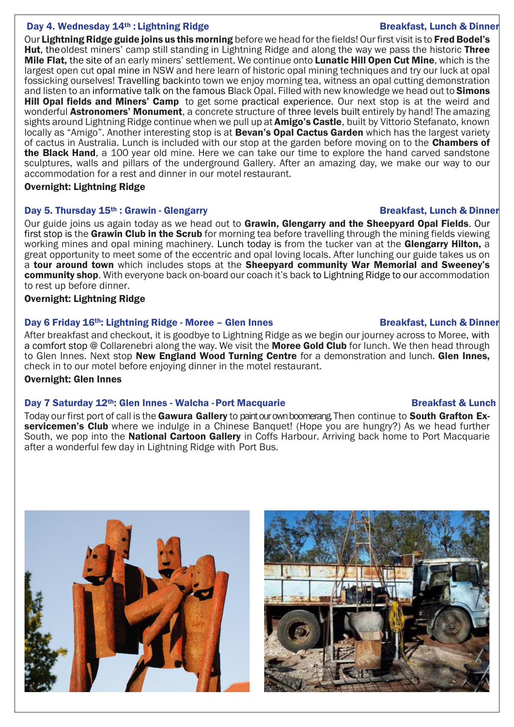### Day 4. Wednesday 14<sup>th</sup> : Lightning Ridge **Breakfast, Lunch & Dinner** Breakfast, Lunch & Dinner

Our Lightning Ridge guide joins us this morning before we head for the fields! Our first visit is to Fred Bodel's Hut, theoldest miners' camp still standing in Lightning Ridge and along the way we pass the historic Three Mile Flat, the site of an early miners' settlement. We continue onto Lunatic Hill Open Cut Mine, which is the largest open cut opal mine in NSW and here learn of historic opal mining techniques and try our luck at opal fossicking ourselves! Travelling backinto town we enjoy morning tea, witness an opal cutting demonstration and listen to an informative talk on the famous Black Opal. Filled with new knowledge we head out to Simons **Hill Opal fields and Miners' Camp** to get some practical experience. Our next stop is at the weird and wonderful **Astronomers' Monument**, a concrete structure of three levels built entirely by hand! The amazing sights around Lightning Ridge continue when we pull up at **Amigo's Castle**, built by Vittorio Stefanato, known locally as "Amigo". Another interesting stop is at **Bevan's Opal Cactus Garden** which has the largest variety of cactus in Australia. Lunch is included with our stop at the garden before moving on to the **Chambers of** the Black Hand, a 100 year old mine. Here we can take our time to explore the hand carved sandstone sculptures, walls and pillars of the underground Gallery. After an amazing day, we make our way to our accommodation for a rest and dinner in our motel restaurant.

#### Overnight: Lightning Ridge

## Day 5. Thursday 15<sup>th</sup> : Grawin - Glengarry Breakfast, Lunch & Dinner

Our guide joins us again today as we head out to Grawin, Glengarry and the Sheepyard Opal Fields. Our first stop is the Grawin Club in the Scrub for morning tea before travelling through the mining fields viewing working mines and opal mining machinery. Lunch today is from the tucker van at the Glengarry Hilton, a great opportunity to meet some of the eccentric and opal loving locals. After lunching our guide takes us on a tour around town which includes stops at the Sheepyard community War Memorial and Sweeney's community shop. With everyone back on-board our coach it's back to Lightning Ridge to our accommodation to rest up before dinner.

## Overnight: Lightning Ridge

#### Day 6 Friday 16<sup>th</sup>: Lightning Ridge - Moree – Glen Innes Breakfast, Lunch & Dinner

After breakfast and checkout, it is goodbye to Lightning Ridge as we begin our journey across to Moree, with a comfort stop @ Collarenebri along the way. We visit the **Moree Gold Club** for lunch. We then head through to Glen Innes. Next stop **New England Wood Turning Centre** for a demonstration and lunch. Glen Innes, check in to our motel before enjoying dinner in the motel restaurant.

## Overnight: Glen Innes

## Day 7 Saturday 12<sup>th</sup>: Glen Innes - Walcha - Port Macquarie **Breakfast & Lunch** Breakfast & Lunch

Today our first port of call is the Gawura Gallery to paint our own boomerang. Then continue to South Grafton Exservicemen's Club where we indulge in a Chinese Banquet! (Hope you are hungry?) As we head further South, we pop into the National Cartoon Gallery in Coffs Harbour. Arriving back home to Port Macquarie after a wonderful few day in Lightning Ridge with Port Bus.